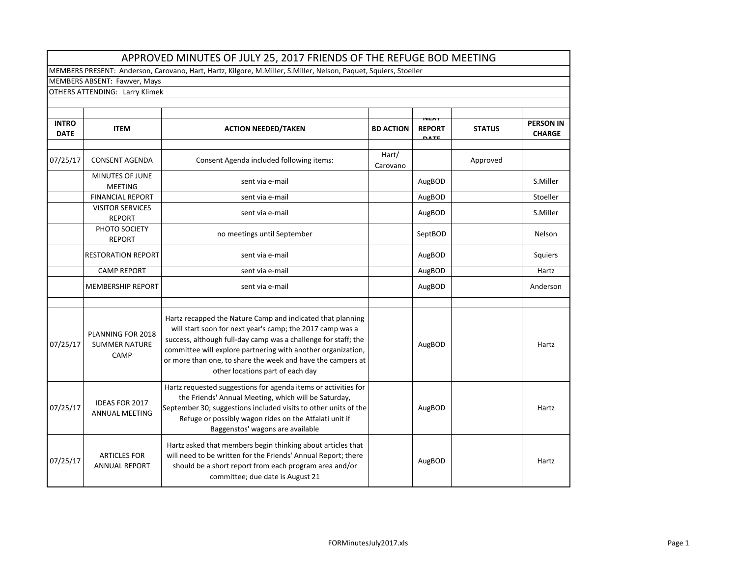|                                | APPROVED MINUTES OF JULY 25, 2017 FRIENDS OF THE REFUGE BOD MEETING |                                                                                                                                                                                                                                                                                                                                                              |                   |                                             |               |                                   |  |  |
|--------------------------------|---------------------------------------------------------------------|--------------------------------------------------------------------------------------------------------------------------------------------------------------------------------------------------------------------------------------------------------------------------------------------------------------------------------------------------------------|-------------------|---------------------------------------------|---------------|-----------------------------------|--|--|
|                                |                                                                     | MEMBERS PRESENT: Anderson, Carovano, Hart, Hartz, Kilgore, M.Miller, S.Miller, Nelson, Paquet, Squiers, Stoeller                                                                                                                                                                                                                                             |                   |                                             |               |                                   |  |  |
|                                | MEMBERS ABSENT: Fawver, Mays                                        |                                                                                                                                                                                                                                                                                                                                                              |                   |                                             |               |                                   |  |  |
| OTHERS ATTENDING: Larry Klimek |                                                                     |                                                                                                                                                                                                                                                                                                                                                              |                   |                                             |               |                                   |  |  |
|                                |                                                                     |                                                                                                                                                                                                                                                                                                                                                              |                   |                                             |               |                                   |  |  |
| <b>INTRO</b><br><b>DATE</b>    | <b>ITEM</b>                                                         | <b>ACTION NEEDED/TAKEN</b>                                                                                                                                                                                                                                                                                                                                   | <b>BD ACTION</b>  | <b>NEAT</b><br><b>REPORT</b><br><b>DATE</b> | <b>STATUS</b> | <b>PERSON IN</b><br><b>CHARGE</b> |  |  |
| 07/25/17                       | <b>CONSENT AGENDA</b>                                               | Consent Agenda included following items:                                                                                                                                                                                                                                                                                                                     | Hart/<br>Carovano |                                             | Approved      |                                   |  |  |
|                                | MINUTES OF JUNE<br><b>MEETING</b>                                   | sent via e-mail                                                                                                                                                                                                                                                                                                                                              |                   | AugBOD                                      |               | S.Miller                          |  |  |
|                                | <b>FINANCIAL REPORT</b>                                             | sent via e-mail                                                                                                                                                                                                                                                                                                                                              |                   | AugBOD                                      |               | Stoeller                          |  |  |
|                                | <b>VISITOR SERVICES</b><br><b>REPORT</b>                            | sent via e-mail                                                                                                                                                                                                                                                                                                                                              |                   | AugBOD                                      |               | S.Miller                          |  |  |
|                                | PHOTO SOCIETY<br><b>REPORT</b>                                      | no meetings until September                                                                                                                                                                                                                                                                                                                                  |                   | SeptBOD                                     |               | Nelson                            |  |  |
|                                | <b>RESTORATION REPORT</b>                                           | sent via e-mail                                                                                                                                                                                                                                                                                                                                              |                   | AugBOD                                      |               | Squiers                           |  |  |
|                                | <b>CAMP REPORT</b>                                                  | sent via e-mail                                                                                                                                                                                                                                                                                                                                              |                   | AugBOD                                      |               | Hartz                             |  |  |
|                                | <b>MEMBERSHIP REPORT</b>                                            | sent via e-mail                                                                                                                                                                                                                                                                                                                                              |                   | AugBOD                                      |               | Anderson                          |  |  |
|                                |                                                                     |                                                                                                                                                                                                                                                                                                                                                              |                   |                                             |               |                                   |  |  |
| 07/25/17                       | PLANNING FOR 2018<br><b>SUMMER NATURE</b><br>CAMP                   | Hartz recapped the Nature Camp and indicated that planning<br>will start soon for next year's camp; the 2017 camp was a<br>success, although full-day camp was a challenge for staff; the<br>committee will explore partnering with another organization,<br>or more than one, to share the week and have the campers at<br>other locations part of each day |                   | AugBOD                                      |               | Hartz                             |  |  |
| 07/25/17                       | <b>IDEAS FOR 2017</b><br><b>ANNUAL MEETING</b>                      | Hartz requested suggestions for agenda items or activities for<br>the Friends' Annual Meeting, which will be Saturday,<br>September 30; suggestions included visits to other units of the<br>Refuge or possibly wagon rides on the Atfalati unit if<br>Baggenstos' wagons are available                                                                      |                   | AugBOD                                      |               | Hartz                             |  |  |
| 07/25/17                       | <b>ARTICLES FOR</b><br><b>ANNUAL REPORT</b>                         | Hartz asked that members begin thinking about articles that<br>will need to be written for the Friends' Annual Report; there<br>should be a short report from each program area and/or<br>committee; due date is August 21                                                                                                                                   |                   | AugBOD                                      |               | Hartz                             |  |  |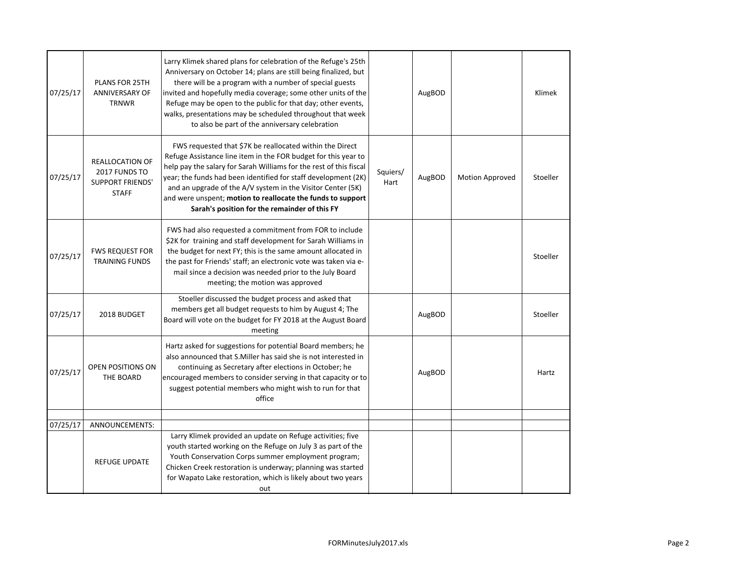| 07/25/17 | <b>PLANS FOR 25TH</b><br><b>ANNIVERSARY OF</b><br><b>TRNWR</b>              | Larry Klimek shared plans for celebration of the Refuge's 25th<br>Anniversary on October 14; plans are still being finalized, but<br>there will be a program with a number of special guests<br>invited and hopefully media coverage; some other units of the<br>Refuge may be open to the public for that day; other events,<br>walks, presentations may be scheduled throughout that week<br>to also be part of the anniversary celebration     |                  | AugBOD |                 | Klimek   |
|----------|-----------------------------------------------------------------------------|---------------------------------------------------------------------------------------------------------------------------------------------------------------------------------------------------------------------------------------------------------------------------------------------------------------------------------------------------------------------------------------------------------------------------------------------------|------------------|--------|-----------------|----------|
| 07/25/17 | REALLOCATION OF<br>2017 FUNDS TO<br><b>SUPPORT FRIENDS'</b><br><b>STAFF</b> | FWS requested that \$7K be reallocated within the Direct<br>Refuge Assistance line item in the FOR budget for this year to<br>help pay the salary for Sarah Williams for the rest of this fiscal<br>year; the funds had been identified for staff development (2K)<br>and an upgrade of the A/V system in the Visitor Center (5K)<br>and were unspent; motion to reallocate the funds to support<br>Sarah's position for the remainder of this FY | Squiers/<br>Hart | AugBOD | Motion Approved | Stoeller |
| 07/25/17 | <b>FWS REQUEST FOR</b><br><b>TRAINING FUNDS</b>                             | FWS had also requested a commitment from FOR to include<br>\$2K for training and staff development for Sarah Williams in<br>the budget for next FY; this is the same amount allocated in<br>the past for Friends' staff; an electronic vote was taken via e-<br>mail since a decision was needed prior to the July Board<br>meeting; the motion was approved                                                                                      |                  |        |                 | Stoeller |
| 07/25/17 | 2018 BUDGET                                                                 | Stoeller discussed the budget process and asked that<br>members get all budget requests to him by August 4; The<br>Board will vote on the budget for FY 2018 at the August Board<br>meeting                                                                                                                                                                                                                                                       |                  | AugBOD |                 | Stoeller |
| 07/25/17 | OPEN POSITIONS ON<br>THE BOARD                                              | Hartz asked for suggestions for potential Board members; he<br>also announced that S. Miller has said she is not interested in<br>continuing as Secretary after elections in October; he<br>encouraged members to consider serving in that capacity or to<br>suggest potential members who might wish to run for that<br>office                                                                                                                   |                  | AugBOD |                 | Hartz    |
| 07/25/17 | ANNOUNCEMENTS:                                                              |                                                                                                                                                                                                                                                                                                                                                                                                                                                   |                  |        |                 |          |
|          | <b>REFUGE UPDATE</b>                                                        | Larry Klimek provided an update on Refuge activities; five<br>youth started working on the Refuge on July 3 as part of the<br>Youth Conservation Corps summer employment program;<br>Chicken Creek restoration is underway; planning was started<br>for Wapato Lake restoration, which is likely about two years<br>out                                                                                                                           |                  |        |                 |          |